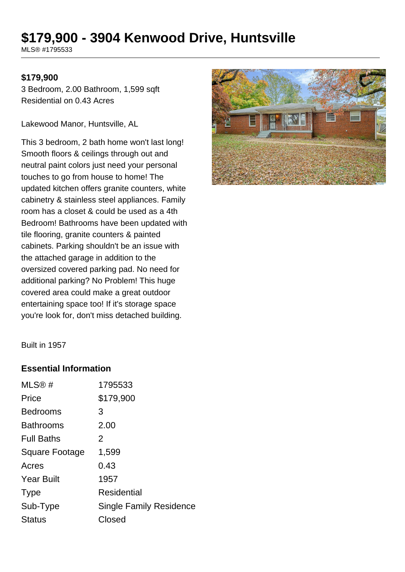# **\$179,900 - 3904 Kenwood Drive, Huntsville**

MLS® #1795533

#### **\$179,900**

3 Bedroom, 2.00 Bathroom, 1,599 sqft Residential on 0.43 Acres

Lakewood Manor, Huntsville, AL

This 3 bedroom, 2 bath home won't last long! Smooth floors & ceilings through out and neutral paint colors just need your personal touches to go from house to home! The updated kitchen offers granite counters, white cabinetry & stainless steel appliances. Family room has a closet & could be used as a 4th Bedroom! Bathrooms have been updated with tile flooring, granite counters & painted cabinets. Parking shouldn't be an issue with the attached garage in addition to the oversized covered parking pad. No need for additional parking? No Problem! This huge covered area could make a great outdoor entertaining space too! If it's storage space you're look for, don't miss detached building.



Built in 1957

#### **Essential Information**

| MLS@#             | 1795533                        |
|-------------------|--------------------------------|
| Price             | \$179,900                      |
| <b>Bedrooms</b>   | 3                              |
| <b>Bathrooms</b>  | 2.00                           |
| <b>Full Baths</b> | 2                              |
| Square Footage    | 1,599                          |
| Acres             | 0.43                           |
| <b>Year Built</b> | 1957                           |
| <b>Type</b>       | Residential                    |
| Sub-Type          | <b>Single Family Residence</b> |
| <b>Status</b>     | Closed                         |